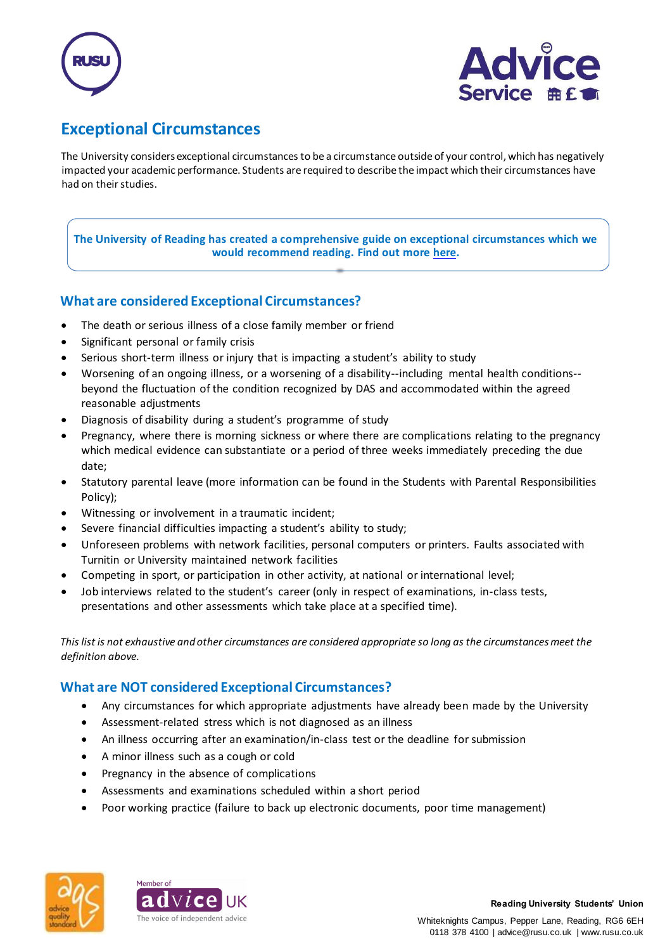



# **Exceptional Circumstances**

The University considers exceptional circumstances to be a circumstance outside of your control, which has negatively impacted your academic performance. Students are required to describe the impact which their circumstances have had on their studies.

#### **The University of Reading has created a comprehensive guide on exceptional circumstances which we would recommend reading. Find out mor[e here.](https://www.reading.ac.uk/essentials/The-Important-Stuff/Rules-and-regulations/Extenuating-circumstances)**

# **What are considered Exceptional Circumstances?**

- The death or serious illness of a close family member or friend
- Significant personal or family crisis
- Serious short-term illness or injury that is impacting a student's ability to study
- Worsening of an ongoing illness, or a worsening of a disability--including mental health conditions- beyond the fluctuation of the condition recognized by DAS and accommodated within the agreed reasonable adjustments
- Diagnosis of disability during a student's programme of study
- Pregnancy, where there is morning sickness or where there are complications relating to the pregnancy which medical evidence can substantiate or a period of three weeks immediately preceding the due date;
- Statutory parental leave (more information can be found in the Students with Parental Responsibilities Policy);
- Witnessing or involvement in a traumatic incident;
- Severe financial difficulties impacting a student's ability to study;
- Unforeseen problems with network facilities, personal computers or printers. Faults associated with Turnitin or University maintained network facilities
- Competing in sport, or participation in other activity, at national or international level;
- Job interviews related to the student's career (only in respect of examinations, in-class tests, presentations and other assessments which take place at a specified time).

*This list is not exhaustive and other circumstances are considered appropriate so long as the circumstances meet the definition above.* 

# **What are NOT considered Exceptional Circumstances?**

- Any circumstances for which appropriate adjustments have already been made by the University
- Assessment-related stress which is not diagnosed as an illness
- An illness occurring after an examination/in-class test or the deadline for submission
- A minor illness such as a cough or cold
- Pregnancy in the absence of complications
- Assessments and examinations scheduled within a short period
- Poor working practice (failure to back up electronic documents, poor time management)



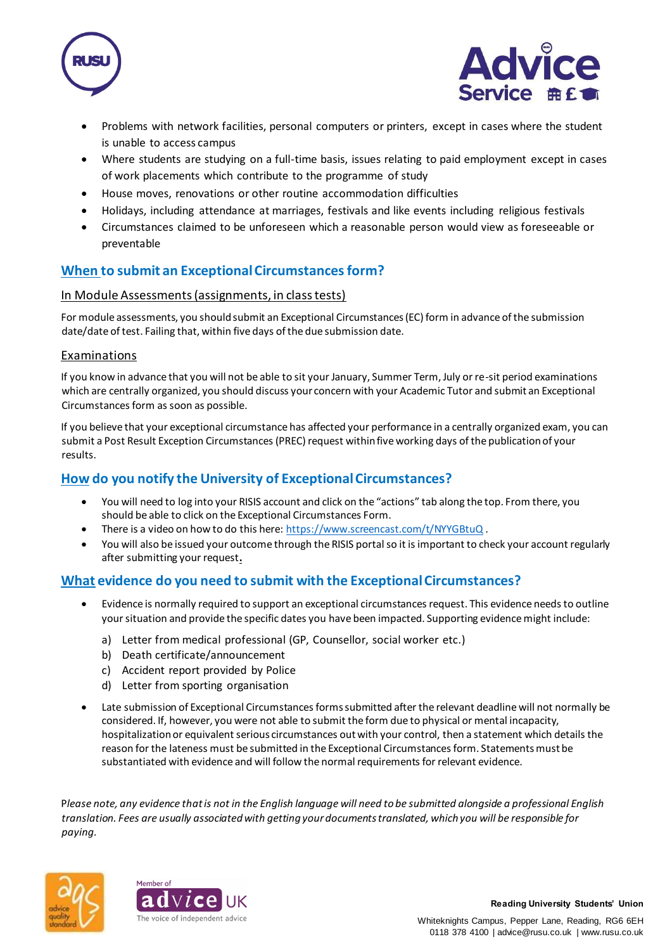



- Problems with network facilities, personal computers or printers, except in cases where the student is unable to access campus
- Where students are studying on a full-time basis, issues relating to paid employment except in cases of work placements which contribute to the programme of study
- House moves, renovations or other routine accommodation difficulties
- Holidays, including attendance at marriages, festivals and like events including religious festivals
- Circumstances claimed to be unforeseen which a reasonable person would view as foreseeable or preventable

## **When to submit an Exceptional Circumstances form?**

#### In Module Assessments (assignments, in class tests)

For module assessments, you should submit an Exceptional Circumstances (EC) form in advance of the submission date/date of test. Failing that, within five days of the due submission date.

#### Examinations

If you know in advance that you will not be able to sit your January, Summer Term, July or re-sit period examinations which are centrally organized, you should discuss your concern with your Academic Tutor and submit an Exceptional Circumstances form as soon as possible.

If you believe that your exceptional circumstance has affected your performance in a centrally organized exam, you can submit a Post Result Exception Circumstances (PREC) request within five working days of the publication of your results.

## **How do you notify the University of Exceptional Circumstances?**

- You will need to log into your RISIS account and click on the "actions" tab along the top. From there, you should be able to click on the Exceptional Circumstances Form.
- There is a video on how to do this here[: https://www.screencast.com/t/NYYGBtuQ](https://www.screencast.com/t/NYYGBtuQ).
- You will also be issued your outcome through the RISIS portal so it is important to check your account regularly after submitting your request**.**

## **What evidence do you need to submit with the Exceptional Circumstances?**

- Evidence is normally required to support an exceptional circumstances request. This evidence needs to outline your situation and provide the specific dates you have been impacted. Supporting evidence might include:
	- a) Letter from medical professional (GP, Counsellor, social worker etc.)
	- b) Death certificate/announcement
	- c) Accident report provided by Police
	- d) Letter from sporting organisation
- Late submission of Exceptional Circumstances forms submitted after the relevant deadline will not normally be considered. If, however, you were not able to submit the form due to physical or mental incapacity, hospitalization or equivalent serious circumstances out with your control, then a statement which details the reason for the lateness must be submitted in the Exceptional Circumstances form. Statements must be substantiated with evidence and will follow the normal requirements for relevant evidence.

P*lease note, any evidence that is not in the English language will need to be submitted alongside a professional English translation. Fees are usually associated with getting your documents translated, which you will be responsible for paying.*



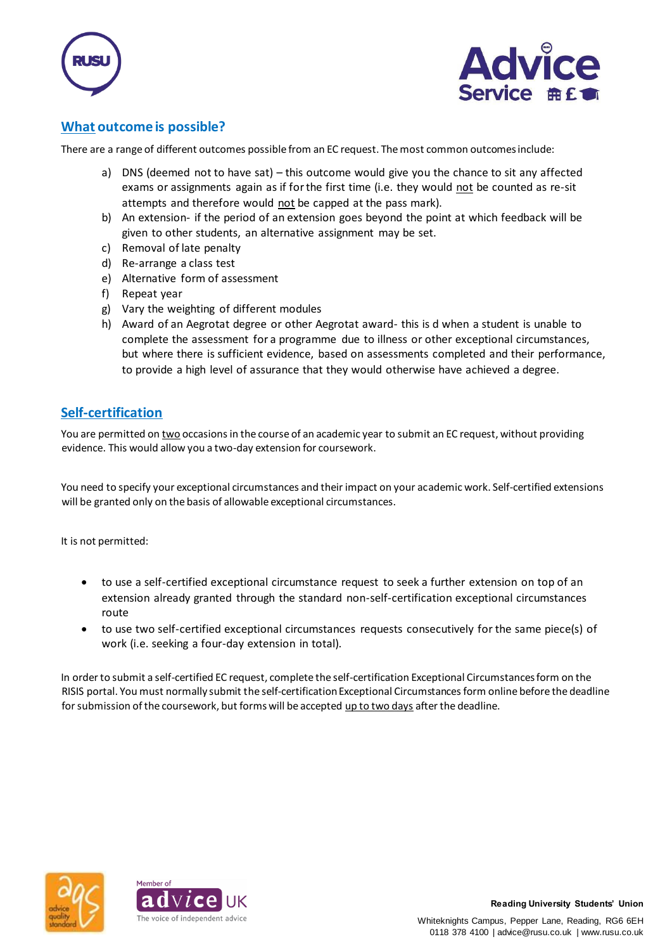



## **What outcome is possible?**

There are a range of different outcomes possible from an EC request. The most common outcomes include:

- a) DNS (deemed not to have sat) this outcome would give you the chance to sit any affected exams or assignments again as if for the first time (i.e. they would not be counted as re-sit attempts and therefore would not be capped at the pass mark).
- b) An extension- if the period of an extension goes beyond the point at which feedback will be given to other students, an alternative assignment may be set.
- c) Removal of late penalty
- d) Re-arrange a class test
- e) Alternative form of assessment
- f) Repeat year
- g) Vary the weighting of different modules
- h) Award of an Aegrotat degree or other Aegrotat award- this is d when a student is unable to complete the assessment for a programme due to illness or other exceptional circumstances, but where there is sufficient evidence, based on assessments completed and their performance, to provide a high level of assurance that they would otherwise have achieved a degree.

## **Self-certification**

You are permitted on two occasions in the course of an academic year to submit an EC request, without providing evidence. This would allow you a two-day extension for coursework.

You need to specify your exceptional circumstances and their impact on your academic work. Self-certified extensions will be granted only on the basis of allowable exceptional circumstances.

It is not permitted:

- to use a self-certified exceptional circumstance request to seek a further extension on top of an extension already granted through the standard non-self-certification exceptional circumstances route
- to use two self-certified exceptional circumstances requests consecutively for the same piece(s) of work (i.e. seeking a four-day extension in total).

In order to submit a self-certified EC request, complete the self-certification Exceptional Circumstances form on the RISIS portal. You must normally submit the self-certification Exceptional Circumstances form online before the deadline for submission of the coursework, but forms will be accepted up to two days after the deadline.